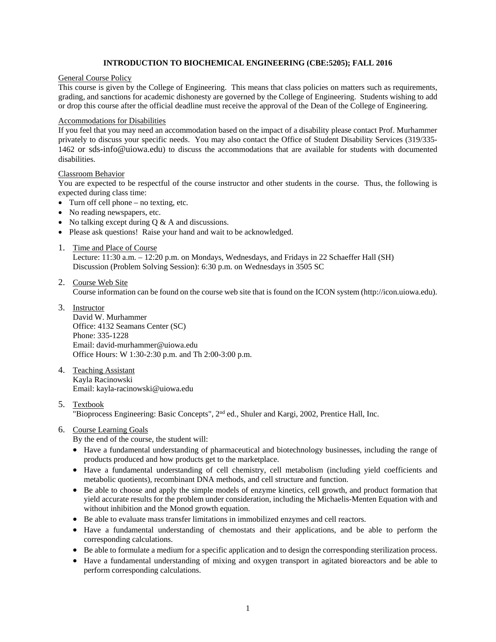# **INTRODUCTION TO BIOCHEMICAL ENGINEERING (CBE:5205); FALL 2016**

#### General Course Policy

This course is given by the College of Engineering. This means that class policies on matters such as requirements, grading, and sanctions for academic dishonesty are governed by the College of Engineering. Students wishing to add or drop this course after the official deadline must receive the approval of the Dean of the College of Engineering.

# Accommodations for Disabilities

If you feel that you may need an accommodation based on the impact of a disability please contact Prof. Murhammer privately to discuss your specific needs. You may also contact the Office of Student Disability Services (319/335- 1462 or sds-info@uiowa.edu) to discuss the accommodations that are available for students with documented disabilities.

#### Classroom Behavior

You are expected to be respectful of the course instructor and other students in the course. Thus, the following is expected during class time:

- $\bullet$  Turn off cell phone no texting, etc.
- No reading newspapers, etc.
- No talking except during  $Q \& A$  and discussions.
- Please ask questions! Raise your hand and wait to be acknowledged.
- 1. Time and Place of Course

Lecture: 11:30 a.m. – 12:20 p.m. on Mondays, Wednesdays, and Fridays in 22 Schaeffer Hall (SH) Discussion (Problem Solving Session): 6:30 p.m. on Wednesdays in 3505 SC

2. Course Web Site

Course information can be found on the course web site that is found on the ICON system (http://icon.uiowa.edu).

3. Instructor

David W. Murhammer Office: 4132 Seamans Center (SC) Phone: 335-1228 Email: david-murhammer@uiowa.edu Office Hours: W 1:30-2:30 p.m. and Th 2:00-3:00 p.m.

- 4. Teaching Assistant Kayla Racinowski Email: kayla-racinowski@uiowa.edu
- 5. Textbook

"Bioprocess Engineering: Basic Concepts", 2nd ed., Shuler and Kargi, 2002, Prentice Hall, Inc.

6. Course Learning Goals

By the end of the course, the student will:

- Have a fundamental understanding of pharmaceutical and biotechnology businesses, including the range of products produced and how products get to the marketplace.
- Have a fundamental understanding of cell chemistry, cell metabolism (including yield coefficients and metabolic quotients), recombinant DNA methods, and cell structure and function.
- Be able to choose and apply the simple models of enzyme kinetics, cell growth, and product formation that yield accurate results for the problem under consideration, including the Michaelis-Menten Equation with and without inhibition and the Monod growth equation.
- Be able to evaluate mass transfer limitations in immobilized enzymes and cell reactors.
- Have a fundamental understanding of chemostats and their applications, and be able to perform the corresponding calculations.
- Be able to formulate a medium for a specific application and to design the corresponding sterilization process.
- Have a fundamental understanding of mixing and oxygen transport in agitated bioreactors and be able to perform corresponding calculations.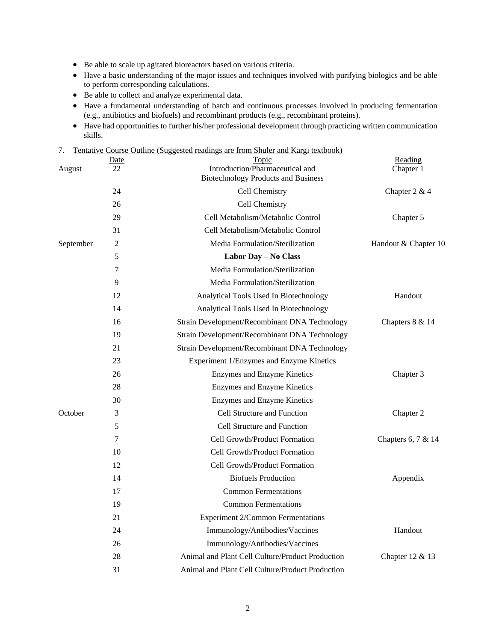- Be able to scale up agitated bioreactors based on various criteria.
- Have a basic understanding of the major issues and techniques involved with purifying biologics and be able to perform corresponding calculations.
- Be able to collect and analyze experimental data.
- Have a fundamental understanding of batch and continuous processes involved in producing fermentation (e.g., antibiotics and biofuels) and recombinant products (e.g., recombinant proteins).
- Have had opportunities to further his/her professional development through practicing written communication skills.

| Tentative Course Outline (Suggested readings are from Shuler and Kargi textbook) |
|----------------------------------------------------------------------------------|
|----------------------------------------------------------------------------------|

| August    | <u>Date</u><br>22 | Topic<br>Introduction/Pharmaceutical and<br><b>Biotechnology Products and Business</b> | Reading<br>Chapter 1 |
|-----------|-------------------|----------------------------------------------------------------------------------------|----------------------|
|           | 24                | Cell Chemistry                                                                         | Chapter $2 & 4$      |
|           | 26                | Cell Chemistry                                                                         |                      |
|           | 29                | Cell Metabolism/Metabolic Control                                                      | Chapter 5            |
|           | 31                | Cell Metabolism/Metabolic Control                                                      |                      |
| September | $\overline{2}$    | Media Formulation/Sterilization                                                        | Handout & Chapter 10 |
|           | 5                 | Labor Day - No Class                                                                   |                      |
|           | 7                 | Media Formulation/Sterilization                                                        |                      |
|           | 9                 | Media Formulation/Sterilization                                                        |                      |
|           | 12                | Analytical Tools Used In Biotechnology                                                 | Handout              |
|           | 14                | Analytical Tools Used In Biotechnology                                                 |                      |
|           | 16                | Strain Development/Recombinant DNA Technology                                          | Chapters 8 & 14      |
|           | 19                | Strain Development/Recombinant DNA Technology                                          |                      |
|           | 21                | Strain Development/Recombinant DNA Technology                                          |                      |
|           | 23                | Experiment 1/Enzymes and Enzyme Kinetics                                               |                      |
|           | 26                | Enzymes and Enzyme Kinetics                                                            | Chapter 3            |
|           | 28                | <b>Enzymes</b> and Enzyme Kinetics                                                     |                      |
|           | 30                | Enzymes and Enzyme Kinetics                                                            |                      |
| October   | 3                 | <b>Cell Structure and Function</b>                                                     | Chapter 2            |
|           | 5                 | Cell Structure and Function                                                            |                      |
|           | 7                 | Cell Growth/Product Formation                                                          | Chapters 6, 7 & 14   |
|           | 10                | Cell Growth/Product Formation                                                          |                      |
|           | 12                | Cell Growth/Product Formation                                                          |                      |
|           | 14                | <b>Biofuels Production</b>                                                             | Appendix             |
|           | 17                | <b>Common Fermentations</b>                                                            |                      |
|           | 19                | <b>Common Fermentations</b>                                                            |                      |
|           | 21                | <b>Experiment 2/Common Fermentations</b>                                               |                      |
|           | 24                | Immunology/Antibodies/Vaccines                                                         | Handout              |
|           | 26                | Immunology/Antibodies/Vaccines                                                         |                      |
|           | 28                | Animal and Plant Cell Culture/Product Production                                       | Chapter 12 & 13      |
|           | 31                | Animal and Plant Cell Culture/Product Production                                       |                      |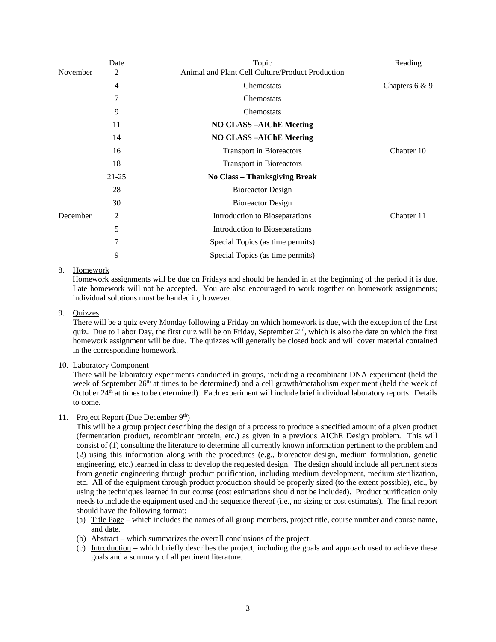|          | <b>Date</b> | <b>Topic</b>                                     | Reading          |
|----------|-------------|--------------------------------------------------|------------------|
| November | 2           | Animal and Plant Cell Culture/Product Production |                  |
|          | 4           | Chemostats                                       | Chapters $6 & 9$ |
|          | 7           | Chemostats                                       |                  |
|          | 9           | Chemostats                                       |                  |
|          | 11          | <b>NO CLASS-AIChE Meeting</b>                    |                  |
|          | 14          | <b>NO CLASS-AIChE Meeting</b>                    |                  |
|          | 16          | <b>Transport in Bioreactors</b>                  | Chapter 10       |
|          | 18          | <b>Transport in Bioreactors</b>                  |                  |
|          | $21 - 25$   | <b>No Class - Thanksgiving Break</b>             |                  |
| 28       |             | <b>Bioreactor Design</b>                         |                  |
|          | 30          | Bioreactor Design                                |                  |
| December | 2           | Introduction to Bioseparations                   | Chapter 11       |
|          | 5           | Introduction to Bioseparations                   |                  |
|          | 7           | Special Topics (as time permits)                 |                  |
|          | 9           | Special Topics (as time permits)                 |                  |

# 8. Homework

Homework assignments will be due on Fridays and should be handed in at the beginning of the period it is due. Late homework will not be accepted. You are also encouraged to work together on homework assignments; individual solutions must be handed in, however.

# 9. Quizzes

There will be a quiz every Monday following a Friday on which homework is due, with the exception of the first quiz. Due to Labor Day, the first quiz will be on Friday, September  $2<sup>nd</sup>$ , which is also the date on which the first homework assignment will be due. The quizzes will generally be closed book and will cover material contained in the corresponding homework.

# 10. Laboratory Component

There will be laboratory experiments conducted in groups, including a recombinant DNA experiment (held the week of September 26<sup>th</sup> at times to be determined) and a cell growth/metabolism experiment (held the week of October 24<sup>th</sup> at times to be determined). Each experiment will include brief individual laboratory reports. Details to come.

#### 11. Project Report (Due December  $9<sup>th</sup>$ )

This will be a group project describing the design of a process to produce a specified amount of a given product (fermentation product, recombinant protein, etc.) as given in a previous AIChE Design problem. This will consist of (1) consulting the literature to determine all currently known information pertinent to the problem and (2) using this information along with the procedures (e.g., bioreactor design, medium formulation, genetic engineering, etc.) learned in class to develop the requested design. The design should include all pertinent steps from genetic engineering through product purification, including medium development, medium sterilization, etc. All of the equipment through product production should be properly sized (to the extent possible), etc., by using the techniques learned in our course (cost estimations should not be included). Product purification only needs to include the equipment used and the sequence thereof (i.e., no sizing or cost estimates). The final report should have the following format:

- (a) Title Page which includes the names of all group members, project title, course number and course name, and date.
- (b) Abstract which summarizes the overall conclusions of the project.
- (c) Introduction which briefly describes the project, including the goals and approach used to achieve these goals and a summary of all pertinent literature.